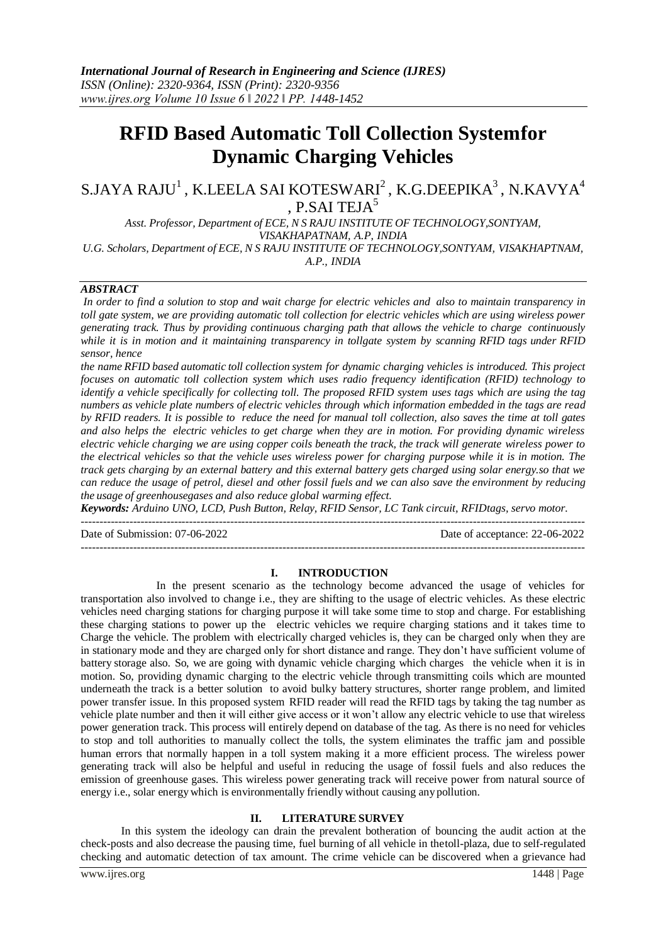# **RFID Based Automatic Toll Collection Systemfor Dynamic Charging Vehicles**

 $\mathrm{S}$ .JAYA RAJU $^1$  , K.LEELA SAI KOTESWARI $^2$  , K.G.DEEPIKA $^3$  , N.KAVYA $^4$ , P.SAI TEJA<sup>5</sup>

*Asst. Professor, Department of ECE, N S RAJU INSTITUTE OF TECHNOLOGY,SONTYAM, VISAKHAPATNAM, A.P, INDIA U.G. Scholars, Department of ECE, N S RAJU INSTITUTE OF TECHNOLOGY,SONTYAM, VISAKHAPTNAM,*

*A.P., INDIA*

## *ABSTRACT*

*In order to find a solution to stop and wait charge for electric vehicles and also to maintain transparency in toll gate system, we are providing automatic toll collection for electric vehicles which are using wireless power generating track. Thus by providing continuous charging path that allows the vehicle to charge continuously while it is in motion and it maintaining transparency in tollgate system by scanning RFID tags under RFID sensor, hence*

*the name RFID based automatic toll collection system for dynamic charging vehicles is introduced. This project focuses on automatic toll collection system which uses radio frequency identification (RFID) technology to identify a vehicle specifically for collecting toll. The proposed RFID system uses tags which are using the tag numbers as vehicle plate numbers of electric vehicles through which information embedded in the tags are read by RFID readers. It is possible to reduce the need for manual toll collection, also saves the time at toll gates and also helps the electric vehicles to get charge when they are in motion. For providing dynamic wireless* electric vehicle charging we are using copper coils beneath the track, the track will generate wireless power to *the electrical vehicles so that the vehicle uses wireless power for charging purpose while it is in motion. The track gets charging by an external battery and this external battery gets charged using solar energy.so that we can reduce the usage of petrol, diesel and other fossil fuels and we can also save the environment by reducing the usage of greenhousegases and also reduce global warming effect.*

*Keywords: Arduino UNO, LCD, Push Button, Relay, RFID Sensor, LC Tank circuit, RFIDtags, servo motor.* ---------------------------------------------------------------------------------------------------------------------------------------

Date of Submission: 07-06-2022 Date of acceptance: 22-06-2022

---------------------------------------------------------------------------------------------------------------------------------------

## **I. INTRODUCTION**

In the present scenario as the technology become advanced the usage of vehicles for transportation also involved to change i.e., they are shifting to the usage of electric vehicles. As these electric vehicles need charging stations for charging purpose it will take some time to stop and charge. For establishing these charging stations to power up the electric vehicles we require charging stations and it takes time to Charge the vehicle. The problem with electrically charged vehicles is, they can be charged only when they are in stationary mode and they are charged only for short distance and range. They don't have sufficient volume of battery storage also. So, we are going with dynamic vehicle charging which charges the vehicle when it is in motion. So, providing dynamic charging to the electric vehicle through transmitting coils which are mounted underneath the track is a better solution to avoid bulky battery structures, shorter range problem, and limited power transfer issue. In this proposed system RFID reader will read the RFID tags by taking the tag number as vehicle plate number and then it will either give access or it won't allow any electric vehicle to use that wireless power generation track. This process will entirely depend on database of the tag. As there is no need for vehicles to stop and toll authorities to manually collect the tolls, the system eliminates the traffic jam and possible human errors that normally happen in a toll system making it a more efficient process. The wireless power generating track will also be helpful and useful in reducing the usage of fossil fuels and also reduces the emission of greenhouse gases. This wireless power generating track will receive power from natural source of energy i.e., solar energy which is environmentally friendly without causing any pollution.

#### **II. LITERATURE SURVEY**

In this system the ideology can drain the prevalent botheration of bouncing the audit action at the check-posts and also decrease the pausing time, fuel burning of all vehicle in thetoll-plaza, due to self-regulated checking and automatic detection of tax amount. The crime vehicle can be discovered when a grievance had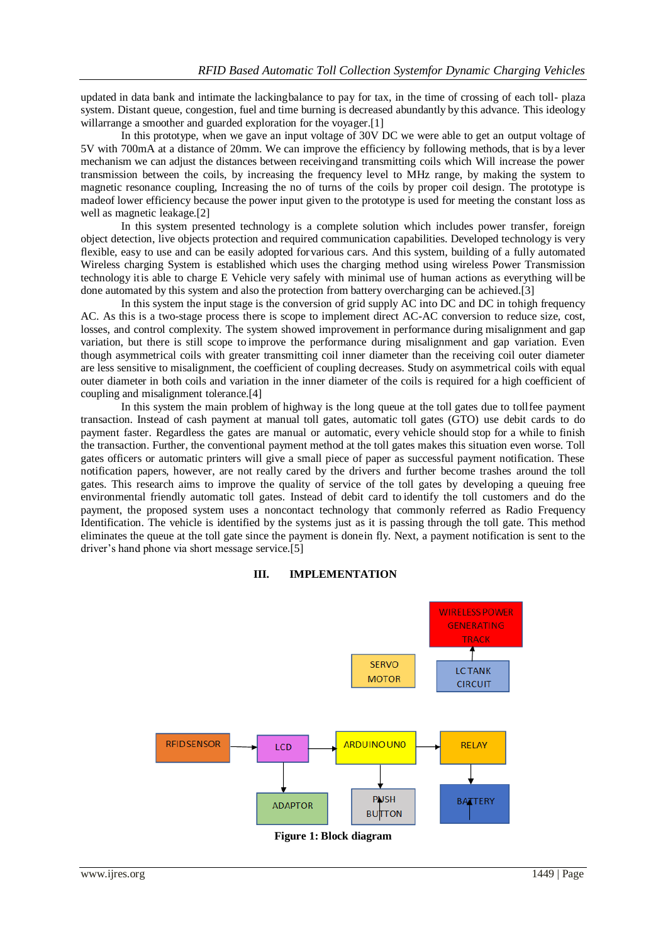updated in data bank and intimate the lackingbalance to pay for tax, in the time of crossing of each toll- plaza system. Distant queue, congestion, fuel and time burning is decreased abundantly by this advance. This ideology willarrange a smoother and guarded exploration for the voyager.<sup>[1]</sup>

In this prototype, when we gave an input voltage of 30V DC we were able to get an output voltage of 5V with 700mA at a distance of 20mm. We can improve the efficiency by following methods, that is bya lever mechanism we can adjust the distances between receivingand transmitting coils which Will increase the power transmission between the coils, by increasing the frequency level to MHz range, by making the system to magnetic resonance coupling, Increasing the no of turns of the coils by proper coil design. The prototype is madeof lower efficiency because the power input given to the prototype is used for meeting the constant loss as well as magnetic leakage.[2]

In this system presented technology is a complete solution which includes power transfer, foreign object detection, live objects protection and required communication capabilities. Developed technology is very flexible, easy to use and can be easily adopted forvarious cars. And this system, building of a fully automated Wireless charging System is established which uses the charging method using wireless Power Transmission technology itis able to charge E Vehicle very safely with minimal use of human actions as everything will be done automated by this system and also the protection from battery overcharging can be achieved.[3]

In this system the input stage is the conversion of grid supply AC into DC and DC in tohigh frequency AC. As this is a two-stage process there is scope to implement direct AC-AC conversion to reduce size, cost, losses, and control complexity. The system showed improvement in performance during misalignment and gap variation, but there is still scope to improve the performance during misalignment and gap variation. Even though asymmetrical coils with greater transmitting coil inner diameter than the receiving coil outer diameter are less sensitive to misalignment, the coefficient of coupling decreases. Study on asymmetrical coils with equal outer diameter in both coils and variation in the inner diameter of the coils is required for a high coefficient of coupling and misalignment tolerance.[4]

In this system the main problem of highway is the long queue at the toll gates due to tollfee payment transaction. Instead of cash payment at manual toll gates, automatic toll gates (GTO) use debit cards to do payment faster. Regardless the gates are manual or automatic, every vehicle should stop for a while to finish the transaction. Further, the conventional payment method at the toll gates makes this situation even worse. Toll gates officers or automatic printers will give a small piece of paper as successful payment notification. These notification papers, however, are not really cared by the drivers and further become trashes around the toll gates. This research aims to improve the quality of service of the toll gates by developing a queuing free environmental friendly automatic toll gates. Instead of debit card to identify the toll customers and do the payment, the proposed system uses a noncontact technology that commonly referred as Radio Frequency Identification. The vehicle is identified by the systems just as it is passing through the toll gate. This method eliminates the queue at the toll gate since the payment is donein fly. Next, a payment notification is sent to the driver's hand phone via short message service.[5]





**Figure 1: Block diagram**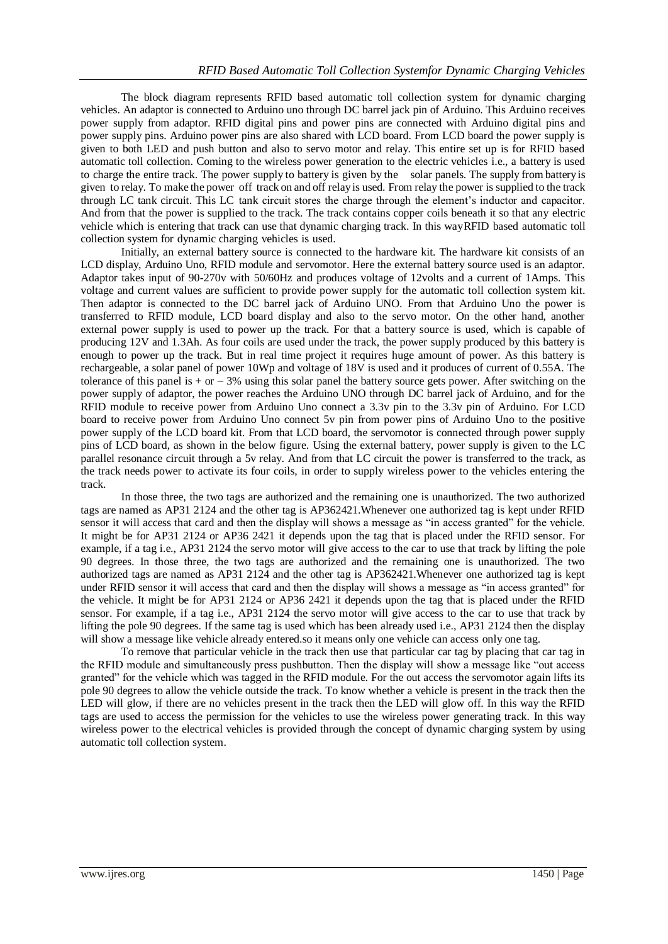The block diagram represents RFID based automatic toll collection system for dynamic charging vehicles. An adaptor is connected to Arduino uno through DC barrel jack pin of Arduino. This Arduino receives power supply from adaptor. RFID digital pins and power pins are connected with Arduino digital pins and power supply pins. Arduino power pins are also shared with LCD board. From LCD board the power supply is given to both LED and push button and also to servo motor and relay. This entire set up is for RFID based automatic toll collection. Coming to the wireless power generation to the electric vehicles i.e., a battery is used to charge the entire track. The power supply to battery is given by the solar panels. The supply from battery is given to relay. To make the power off track on and off relayis used. From relay the power is supplied to the track through LC tank circuit. This LC tank circuit stores the charge through the element's inductor and capacitor. And from that the power is supplied to the track. The track contains copper coils beneath it so that any electric vehicle which is entering that track can use that dynamic charging track. In this wayRFID based automatic toll collection system for dynamic charging vehicles is used.

Initially, an external battery source is connected to the hardware kit. The hardware kit consists of an LCD display, Arduino Uno, RFID module and servomotor. Here the external battery source used is an adaptor. Adaptor takes input of 90-270v with 50/60Hz and produces voltage of 12volts and a current of 1Amps. This voltage and current values are sufficient to provide power supply for the automatic toll collection system kit. Then adaptor is connected to the DC barrel jack of Arduino UNO. From that Arduino Uno the power is transferred to RFID module, LCD board display and also to the servo motor. On the other hand, another external power supply is used to power up the track. For that a battery source is used, which is capable of producing 12V and 1.3Ah. As four coils are used under the track, the power supply produced by this battery is enough to power up the track. But in real time project it requires huge amount of power. As this battery is rechargeable, a solar panel of power 10Wp and voltage of 18V is used and it produces of current of 0.55A. The tolerance of this panel is  $+$  or  $-3\%$  using this solar panel the battery source gets power. After switching on the power supply of adaptor, the power reaches the Arduino UNO through DC barrel jack of Arduino, and for the RFID module to receive power from Arduino Uno connect a 3.3v pin to the 3.3v pin of Arduino. For LCD board to receive power from Arduino Uno connect 5v pin from power pins of Arduino Uno to the positive power supply of the LCD board kit. From that LCD board, the servomotor is connected through power supply pins of LCD board, as shown in the below figure. Using the external battery, power supply is given to the LC parallel resonance circuit through a 5v relay. And from that LC circuit the power is transferred to the track, as the track needs power to activate its four coils, in order to supply wireless power to the vehicles entering the track.

In those three, the two tags are authorized and the remaining one is unauthorized. The two authorized tags are named as AP31 2124 and the other tag is AP362421.Whenever one authorized tag is kept under RFID sensor it will access that card and then the display will shows a message as "in access granted" for the vehicle. It might be for AP31 2124 or AP36 2421 it depends upon the tag that is placed under the RFID sensor. For example, if a tag i.e., AP31 2124 the servo motor will give access to the car to use that track by lifting the pole 90 degrees. In those three, the two tags are authorized and the remaining one is unauthorized. The two authorized tags are named as AP31 2124 and the other tag is AP362421.Whenever one authorized tag is kept under RFID sensor it will access that card and then the display will shows a message as "in access granted" for the vehicle. It might be for AP31 2124 or AP36 2421 it depends upon the tag that is placed under the RFID sensor. For example, if a tag i.e., AP31 2124 the servo motor will give access to the car to use that track by lifting the pole 90 degrees. If the same tag is used which has been already used i.e., AP31 2124 then the display will show a message like vehicle already entered.so it means only one vehicle can access only one tag.

To remove that particular vehicle in the track then use that particular car tag by placing that car tag in the RFID module and simultaneously press pushbutton. Then the display will show a message like "out access granted" for the vehicle which was tagged in the RFID module. For the out access the servomotor again lifts its pole 90 degrees to allow the vehicle outside the track. To know whether a vehicle is present in the track then the LED will glow, if there are no vehicles present in the track then the LED will glow off. In this way the RFID tags are used to access the permission for the vehicles to use the wireless power generating track. In this way wireless power to the electrical vehicles is provided through the concept of dynamic charging system by using automatic toll collection system.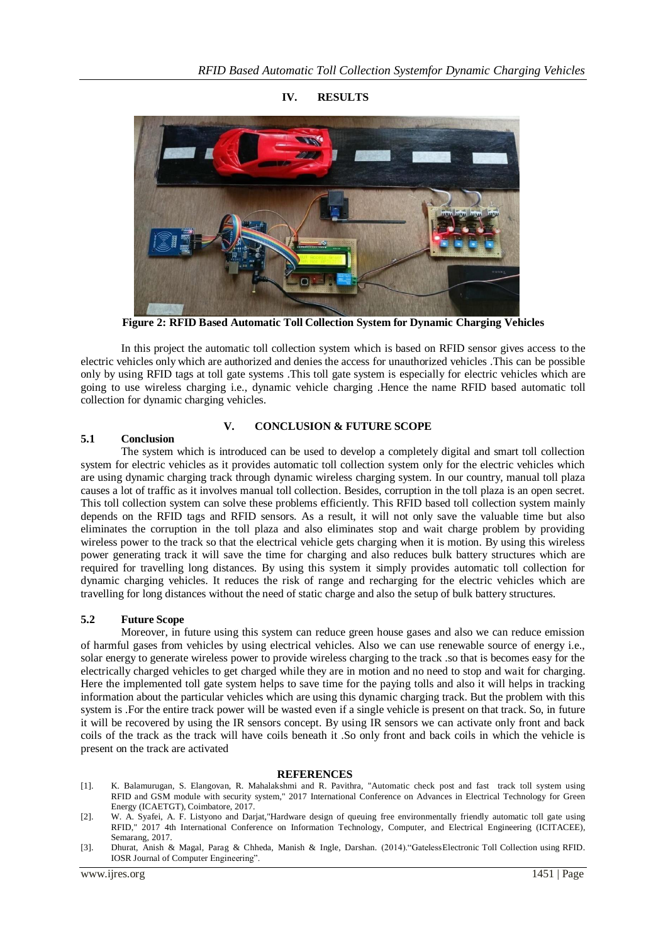

**IV. RESULTS**

**Figure 2: RFID Based Automatic Toll Collection System for Dynamic Charging Vehicles**

In this project the automatic toll collection system which is based on RFID sensor gives access to the electric vehicles only which are authorized and denies the access for unauthorized vehicles .This can be possible only by using RFID tags at toll gate systems .This toll gate system is especially for electric vehicles which are going to use wireless charging i.e., dynamic vehicle charging .Hence the name RFID based automatic toll collection for dynamic charging vehicles.

## **V. CONCLUSION & FUTURE SCOPE**

## **5.1 Conclusion**

The system which is introduced can be used to develop a completely digital and smart toll collection system for electric vehicles as it provides automatic toll collection system only for the electric vehicles which are using dynamic charging track through dynamic wireless charging system. In our country, manual toll plaza causes a lot of traffic as it involves manual toll collection. Besides, corruption in the toll plaza is an open secret. This toll collection system can solve these problems efficiently. This RFID based toll collection system mainly depends on the RFID tags and RFID sensors. As a result, it will not only save the valuable time but also eliminates the corruption in the toll plaza and also eliminates stop and wait charge problem by providing wireless power to the track so that the electrical vehicle gets charging when it is motion. By using this wireless power generating track it will save the time for charging and also reduces bulk battery structures which are required for travelling long distances. By using this system it simply provides automatic toll collection for dynamic charging vehicles. It reduces the risk of range and recharging for the electric vehicles which are travelling for long distances without the need of static charge and also the setup of bulk battery structures.

## **5.2 Future Scope**

Moreover, in future using this system can reduce green house gases and also we can reduce emission of harmful gases from vehicles by using electrical vehicles. Also we can use renewable source of energy i.e., solar energy to generate wireless power to provide wireless charging to the track .so that is becomes easy for the electrically charged vehicles to get charged while they are in motion and no need to stop and wait for charging. Here the implemented toll gate system helps to save time for the paying tolls and also it will helps in tracking information about the particular vehicles which are using this dynamic charging track. But the problem with this system is .For the entire track power will be wasted even if a single vehicle is present on that track. So, in future it will be recovered by using the IR sensors concept. By using IR sensors we can activate only front and back coils of the track as the track will have coils beneath it .So only front and back coils in which the vehicle is present on the track are activated

#### **REFERENCES**

- [1]. K. Balamurugan, S. Elangovan, R. Mahalakshmi and R. Pavithra, "Automatic check post and fast track toll system using RFID and GSM module with security system," 2017 International Conference on Advances in Electrical Technology for Green Energy (ICAETGT), Coimbatore, 2017.
- [2]. W. A. Syafei, A. F. Listyono and Darjat,"Hardware design of queuing free environmentally friendly automatic toll gate using RFID," 2017 4th International Conference on Information Technology, Computer, and Electrical Engineering (ICITACEE), Semarang, 2017.
- [3]. Dhurat, Anish & Magal, Parag & Chheda, Manish & Ingle, Darshan. (2014)."GatelessElectronic Toll Collection using RFID. IOSR Journal of Computer Engineering".